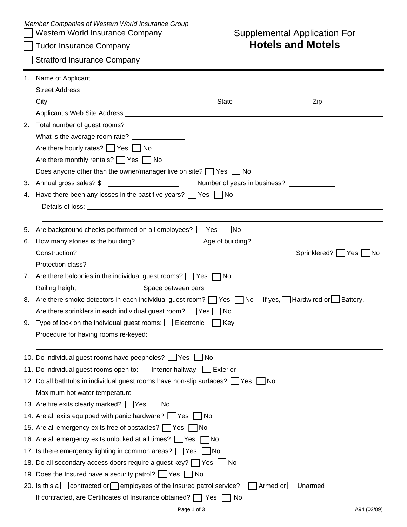| Member Companies of Western World Insurance Group |  |
|---------------------------------------------------|--|
|---------------------------------------------------|--|

|  |  |  | Tudor Insurance Company |
|--|--|--|-------------------------|
|--|--|--|-------------------------|

## Western World Insurance Company **Supplemental Application For** Supplemental Application For<br> **Hotels and Motels**

Stratford Insurance Company

| 2. | Total number of guest rooms?<br><u> </u>                                                                                                 |
|----|------------------------------------------------------------------------------------------------------------------------------------------|
|    | What is the average room rate? ______________                                                                                            |
|    | Are there hourly rates? $\Box$ Yes $\Box$ No                                                                                             |
|    | Are there monthly rentals? $\Box$ Yes $\Box$ No                                                                                          |
|    | Does anyone other than the owner/manager live on site? $\Box$ Yes $\Box$ No                                                              |
| 3. | Number of years in business? _____________<br>Annual gross sales? \$<br><u>and the community of the community of the community</u>       |
| 4. | Have there been any losses in the past five years? $\Box$ Yes $\Box$ No                                                                  |
|    |                                                                                                                                          |
|    |                                                                                                                                          |
| 5. | Are background checks performed on all employees? [Cassack] No                                                                           |
| 6. | How many stories is the building? ________________                                                                                       |
|    | Construction?<br>Sprinklered?   Yes   No                                                                                                 |
|    | Protection class?<br><u> 1980 - Andrea Aonaichte ann an Comhair ann an Comhair ann an Comhair ann an Comhair ann an Comhair ann an C</u> |
|    | 7. Are there balconies in the individual guest rooms? $\Box$ Yes $\Box$ No                                                               |
|    | Railing height ______________                                                                                                            |
|    | 8. Are there smoke detectors in each individual guest room? TYes TNo If yes, Hardwired or Battery.                                       |
|    | Are there sprinklers in each individual guest room? $\Box$ Yes $\Box$ No                                                                 |
|    | 9. Type of lock on the individual guest rooms: $\Box$ Electronic $\Box$ Key                                                              |
|    |                                                                                                                                          |
|    |                                                                                                                                          |
|    | 10. Do individual guest rooms have peepholes? Set Set Sho                                                                                |
|    | 11. Do individual guest rooms open to: Interior hallway Interior                                                                         |
|    | 12. Do all bathtubs in individual guest rooms have non-slip surfaces? See See Sho                                                        |
|    | Maximum hot water temperature _________                                                                                                  |
|    | 13. Are fire exits clearly marked? $\Box$ Yes $\Box$ No                                                                                  |
|    | 14. Are all exits equipped with panic hardware? Yes no                                                                                   |
|    | 15. Are all emergency exits free of obstacles? TYes TNo                                                                                  |
|    | 16. Are all emergency exits unlocked at all times? Yes No                                                                                |
|    | 17. Is there emergency lighting in common areas? TYes No                                                                                 |
|    | 18. Do all secondary access doors require a guest key? Yes UNo                                                                           |
|    | 19. Does the Insured have a security patrol?     Yes   No                                                                                |
|    | 20. Is this a contracted or employees of the Insured patrol service?<br>Armed or Unarmed                                                 |
|    | If contracted, are Certificates of Insurance obtained? $\Box$ Yes $\Box$ No                                                              |
|    | Page 1 of 3<br>A94 (02/09)                                                                                                               |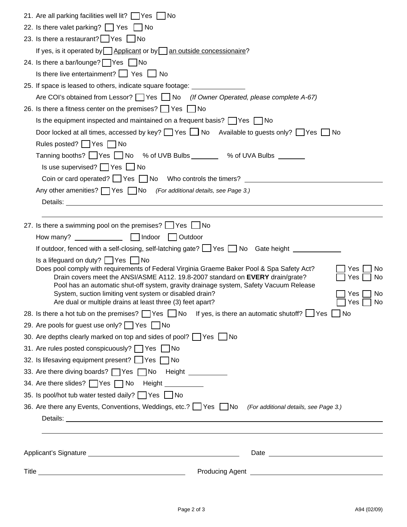| 21. Are all parking facilities well lit?   Yes   No                                                                                                                                                                                                                                                                                                                                                                                                                                                  |
|------------------------------------------------------------------------------------------------------------------------------------------------------------------------------------------------------------------------------------------------------------------------------------------------------------------------------------------------------------------------------------------------------------------------------------------------------------------------------------------------------|
| 22. Is there valet parking? Yes No                                                                                                                                                                                                                                                                                                                                                                                                                                                                   |
| 23. Is there a restaurant? Yes No                                                                                                                                                                                                                                                                                                                                                                                                                                                                    |
| If yes, is it operated by $\Box$ Applicant or by $\Box$ an outside concessionaire?                                                                                                                                                                                                                                                                                                                                                                                                                   |
| 24. Is there a bar/lounge?   Yes I No                                                                                                                                                                                                                                                                                                                                                                                                                                                                |
| Is there live entertainment? $\Box$ Yes $\Box$ No                                                                                                                                                                                                                                                                                                                                                                                                                                                    |
| 25. If space is leased to others, indicate square footage: ________________                                                                                                                                                                                                                                                                                                                                                                                                                          |
| Are COI's obtained from Lessor? TYes No (If Owner Operated, please complete A-67)                                                                                                                                                                                                                                                                                                                                                                                                                    |
| 26. Is there a fitness center on the premises? $\Box$ Yes $\Box$ No                                                                                                                                                                                                                                                                                                                                                                                                                                  |
| Is the equipment inspected and maintained on a frequent basis? $\Box$ Yes $\Box$ No                                                                                                                                                                                                                                                                                                                                                                                                                  |
| Door locked at all times, accessed by key? $\Box$ Yes $\Box$ No Available to guests only? $\Box$ Yes $\Box$ No                                                                                                                                                                                                                                                                                                                                                                                       |
| Rules posted? $\Box$ Yes $\Box$ No                                                                                                                                                                                                                                                                                                                                                                                                                                                                   |
| Tanning booths?   Yes   No % of UVB Bulbs _ _ _ % of UVA Bulbs _ _ _ _ _                                                                                                                                                                                                                                                                                                                                                                                                                             |
| Is use supervised? $\Box$ Yes $\Box$ No                                                                                                                                                                                                                                                                                                                                                                                                                                                              |
| Coin or card operated? $\Box$ Yes $\Box$ No Who controls the timers?                                                                                                                                                                                                                                                                                                                                                                                                                                 |
| Any other amenities? Ves No (For additional details, see Page 3.)                                                                                                                                                                                                                                                                                                                                                                                                                                    |
| Details: the contract of the contract of the contract of the contract of the contract of the contract of the contract of the contract of the contract of the contract of the contract of the contract of the contract of the c                                                                                                                                                                                                                                                                       |
|                                                                                                                                                                                                                                                                                                                                                                                                                                                                                                      |
| 27. Is there a swimming pool on the premises? Yes No                                                                                                                                                                                                                                                                                                                                                                                                                                                 |
|                                                                                                                                                                                                                                                                                                                                                                                                                                                                                                      |
| If outdoor, fenced with a self-closing, self-latching gate? Ves No Gate height                                                                                                                                                                                                                                                                                                                                                                                                                       |
| Is a lifeguard on duty? $\Box$ Yes $\Box$ No<br>Does pool comply with requirements of Federal Virginia Graeme Baker Pool & Spa Safety Act?<br>Yes<br>No.<br>Drain covers meet the ANSI/ASME A112. 19.8-2007 standard on EVERY drain/grate?<br>Yes<br>No.<br>Pool has an automatic shut-off system, gravity drainage system, Safety Vacuum Release<br>System, suction limiting vent system or disabled drain?<br>No<br>Yes<br>Are dual or multiple drains at least three (3) feet apart?<br>No<br>Yes |
| 28. Is there a hot tub on the premises? $\Box$ Yes $\Box$ No If yes, is there an automatic shutoff? $\Box$ Yes $\Box$ No                                                                                                                                                                                                                                                                                                                                                                             |
| 29. Are pools for guest use only? Yes No                                                                                                                                                                                                                                                                                                                                                                                                                                                             |
| 30. Are depths clearly marked on top and sides of pool? Yes No                                                                                                                                                                                                                                                                                                                                                                                                                                       |
| 31. Are rules posted conspicuously? □ Yes □ No                                                                                                                                                                                                                                                                                                                                                                                                                                                       |
| 32. Is lifesaving equipment present? Yes ∩ No                                                                                                                                                                                                                                                                                                                                                                                                                                                        |
| 33. Are there diving boards?   Yes   No Height   _________                                                                                                                                                                                                                                                                                                                                                                                                                                           |
| 34. Are there slides? Yes No Height __________                                                                                                                                                                                                                                                                                                                                                                                                                                                       |
| 35. Is pool/hot tub water tested daily? TYes No                                                                                                                                                                                                                                                                                                                                                                                                                                                      |
| 36. Are there any Events, Conventions, Weddings, etc.? See Tho (For additional details, see Page 3.)                                                                                                                                                                                                                                                                                                                                                                                                 |
|                                                                                                                                                                                                                                                                                                                                                                                                                                                                                                      |
|                                                                                                                                                                                                                                                                                                                                                                                                                                                                                                      |
|                                                                                                                                                                                                                                                                                                                                                                                                                                                                                                      |